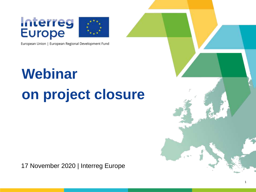# **Interreg**<br>Europe



European Union | European Regional Development Fund

## **Webinar on project closure**

17 November 2020 | Interreg Europe

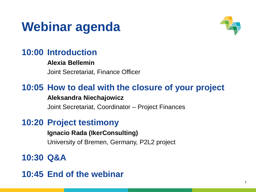#### **Webinar agenda**



#### **10:00 Introduction**

#### **Alexia Bellemin**

Joint Secretariat, Finance Officer

#### **10:05 How to deal with the closure of your project Aleksandra Niechajowicz**

Joint Secretariat, Coordinator – Project Finances

#### **10:20 Project testimony**

**Ignacio Rada (IkerConsulting)**

University of Bremen, Germany, P2L2 project

#### **10:30 Q&A**

**10:45 End of the webinar**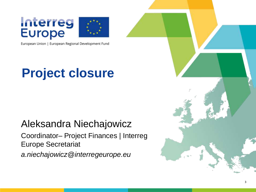# **Interreg**<br>Europe



European Union | European Regional Development Fund

### **Project closure**

#### Aleksandra Niechajowicz Coordinator– Project Finances | Interreg Europe Secretariat *a.niechajowicz@interregeurope.eu*

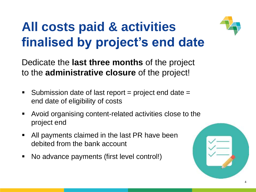### **All costs paid & activities finalised by project's end date**

Dedicate the **last three months** of the project to the **administrative closure** of the project!

- Submission date of last report  $=$  project end date  $=$ end date of eligibility of costs
- Avoid organising content-related activities close to the project end
- All payments claimed in the last PR have been debited from the bank account
- No advance payments (first level control!)

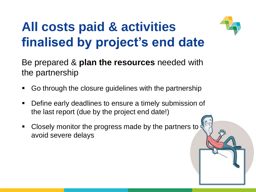### **All costs paid & activities finalised by project's end date**



- Go through the closure guidelines with the partnership
- **Define early deadlines to ensure a timely submission of** the last report (due by the project end date!)
- **Closely monitor the progress made by the partners to** avoid severe delays



5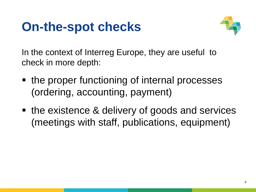#### **On-the-spot checks**



In the context of Interreg Europe, they are useful to check in more depth:

- the proper functioning of internal processes (ordering, accounting, payment)
- the existence & delivery of goods and services (meetings with staff, publications, equipment)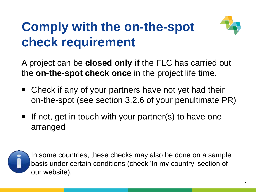### **Comply with the on-the-spot check requirement**



A project can be **closed only if** the FLC has carried out the **on-the-spot check once** in the project life time.

- Check if any of your partners have not yet had their on-the-spot (see section 3.2.6 of your penultimate PR)
- **If not, get in touch with your partner(s) to have one** arranged



 In some countries, these checks may also be done on a sample basis under certain conditions (check 'In my country' section of our website).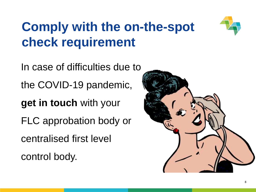### **Comply with the on-the-spot check requirement**



In case of difficulties due to the COVID-19 pandemic, **get in touch** with your FLC approbation body or centralised first level control body.

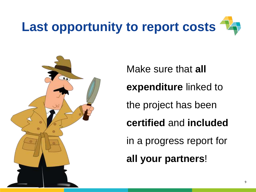



Make sure that **all expenditure** linked to the project has been **certified** and **included** in a progress report for **all your partners**!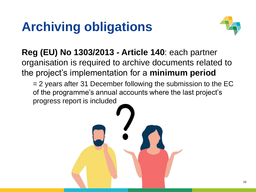### **Archiving obligations**



**Reg (EU) No 1303/2013 - Article 140**: each partner organisation is required to archive documents related to the project's implementation for a **minimum period**

= 2 years after 31 December following the submission to the EC of the programme's annual accounts where the last project's progress report is included

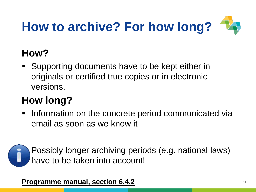## **How to archive? For how long?**

#### **How?**

 Supporting documents have to be kept either in originals or certified true copies or in electronic versions.

#### **How long?**

**Information on the concrete period communicated via** email as soon as we know it



 Possibly longer archiving periods (e.g. national laws) have to be taken into account!

**Programme manual, section 6.4.2**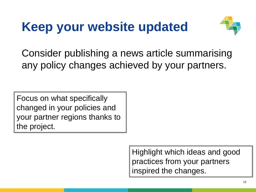### **Keep your website updated**



Consider publishing a news article summarising any policy changes achieved by your partners.

Focus on what specifically changed in your policies and your partner regions thanks to the project.

> Highlight which ideas and good practices from your partners inspired the changes.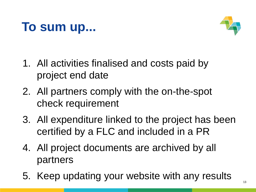#### **To sum up...**



- 1. All activities finalised and costs paid by project end date
- 2. All partners comply with the on-the-spot check requirement
- 3. All expenditure linked to the project has been certified by a FLC and included in a PR
- 4. All project documents are archived by all partners
- 5. Keep updating your website with any results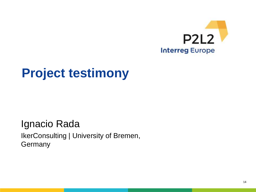

#### **Project testimony**

#### Ignacio Rada IkerConsulting | University of Bremen, **Germany**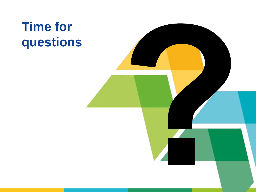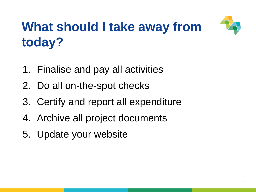

### **What should I take away from today?**

- 1. Finalise and pay all activities
- 2. Do all on-the-spot checks
- 3. Certify and report all expenditure
- 4. Archive all project documents
- 5. Update your website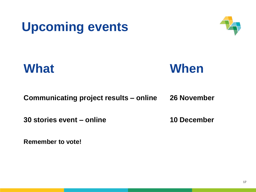



**What When**

**Communicating project results – online 26 November**

**30 stories event – online 10 December**

**Remember to vote!**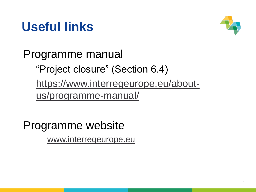#### **Useful links**



Programme manual

"Project closure" (Section 6.4)

https://www.interregeurope.eu/aboutus/programme-manual/

Programme website www.interregeurope.eu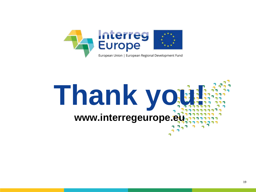